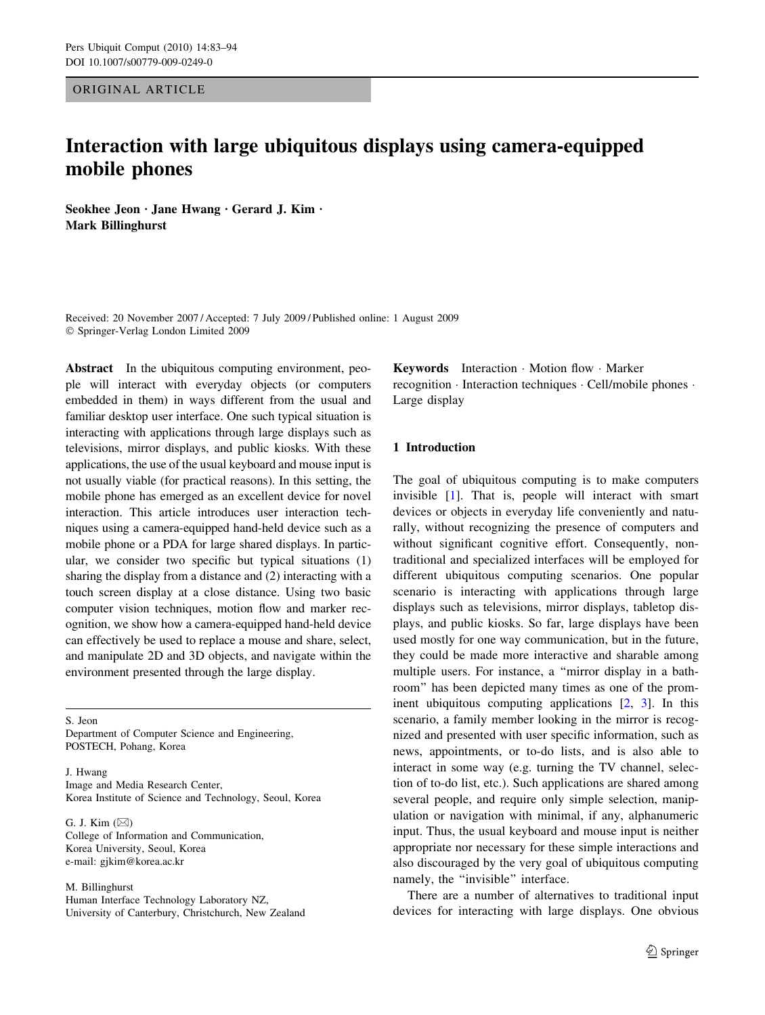ORIGINAL ARTICLE

# Interaction with large ubiquitous displays using camera-equipped mobile phones

Seokhee Jeon · Jane Hwang · Gerard J. Kim · Mark Billinghurst

Received: 20 November 2007 / Accepted: 7 July 2009 / Published online: 1 August 2009 Springer-Verlag London Limited 2009

Abstract In the ubiquitous computing environment, people will interact with everyday objects (or computers embedded in them) in ways different from the usual and familiar desktop user interface. One such typical situation is interacting with applications through large displays such as televisions, mirror displays, and public kiosks. With these applications, the use of the usual keyboard and mouse input is not usually viable (for practical reasons). In this setting, the mobile phone has emerged as an excellent device for novel interaction. This article introduces user interaction techniques using a camera-equipped hand-held device such as a mobile phone or a PDA for large shared displays. In particular, we consider two specific but typical situations (1) sharing the display from a distance and (2) interacting with a touch screen display at a close distance. Using two basic computer vision techniques, motion flow and marker recognition, we show how a camera-equipped hand-held device can effectively be used to replace a mouse and share, select, and manipulate 2D and 3D objects, and navigate within the environment presented through the large display.

S. Jeon

Department of Computer Science and Engineering, POSTECH, Pohang, Korea

J. Hwang Image and Media Research Center, Korea Institute of Science and Technology, Seoul, Korea

G. J. Kim  $(\boxtimes)$ College of Information and Communication, Korea University, Seoul, Korea e-mail: gjkim@korea.ac.kr

M. Billinghurst Human Interface Technology Laboratory NZ, University of Canterbury, Christchurch, New Zealand Keywords Interaction · Motion flow · Marker recognition · Interaction techniques · Cell/mobile phones · Large display

# 1 Introduction

The goal of ubiquitous computing is to make computers invisible [\[1](#page-10-0)]. That is, people will interact with smart devices or objects in everyday life conveniently and naturally, without recognizing the presence of computers and without significant cognitive effort. Consequently, nontraditional and specialized interfaces will be employed for different ubiquitous computing scenarios. One popular scenario is interacting with applications through large displays such as televisions, mirror displays, tabletop displays, and public kiosks. So far, large displays have been used mostly for one way communication, but in the future, they could be made more interactive and sharable among multiple users. For instance, a ''mirror display in a bathroom'' has been depicted many times as one of the prominent ubiquitous computing applications [[2,](#page-10-0) [3](#page-10-0)]. In this scenario, a family member looking in the mirror is recognized and presented with user specific information, such as news, appointments, or to-do lists, and is also able to interact in some way (e.g. turning the TV channel, selection of to-do list, etc.). Such applications are shared among several people, and require only simple selection, manipulation or navigation with minimal, if any, alphanumeric input. Thus, the usual keyboard and mouse input is neither appropriate nor necessary for these simple interactions and also discouraged by the very goal of ubiquitous computing namely, the "invisible" interface.

There are a number of alternatives to traditional input devices for interacting with large displays. One obvious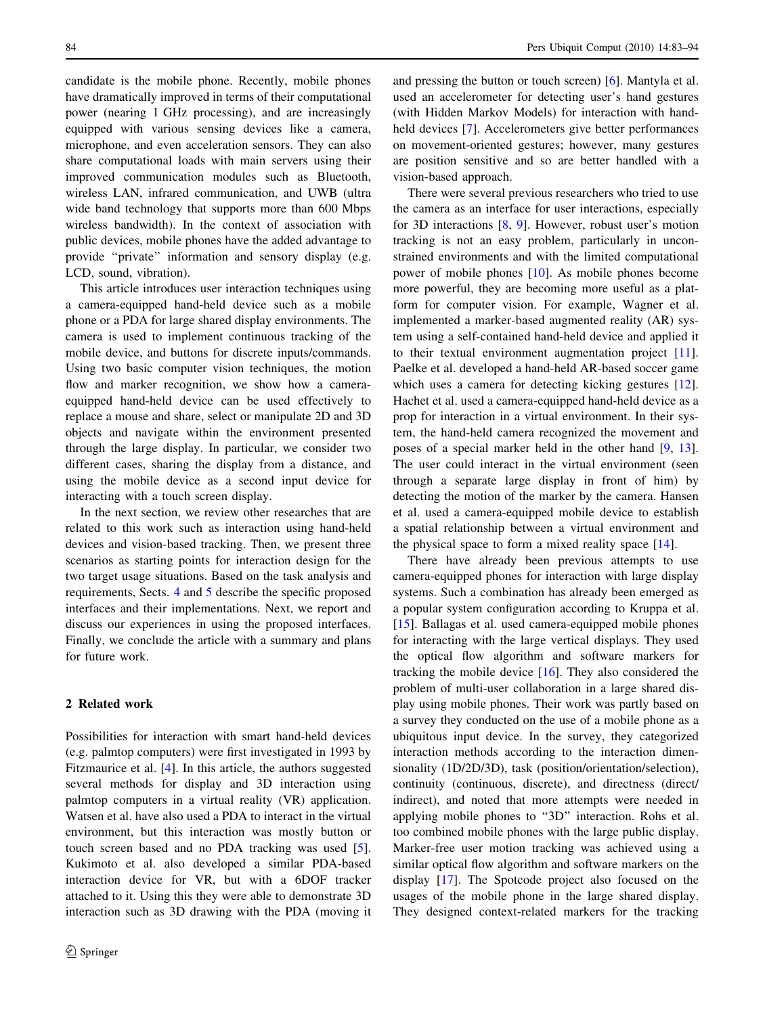candidate is the mobile phone. Recently, mobile phones have dramatically improved in terms of their computational power (nearing 1 GHz processing), and are increasingly equipped with various sensing devices like a camera, microphone, and even acceleration sensors. They can also share computational loads with main servers using their improved communication modules such as Bluetooth, wireless LAN, infrared communication, and UWB (ultra wide band technology that supports more than 600 Mbps wireless bandwidth). In the context of association with public devices, mobile phones have the added advantage to provide "private" information and sensory display (e.g. LCD, sound, vibration).

This article introduces user interaction techniques using a camera-equipped hand-held device such as a mobile phone or a PDA for large shared display environments. The camera is used to implement continuous tracking of the mobile device, and buttons for discrete inputs/commands. Using two basic computer vision techniques, the motion flow and marker recognition, we show how a cameraequipped hand-held device can be used effectively to replace a mouse and share, select or manipulate 2D and 3D objects and navigate within the environment presented through the large display. In particular, we consider two different cases, sharing the display from a distance, and using the mobile device as a second input device for interacting with a touch screen display.

In the next section, we review other researches that are related to this work such as interaction using hand-held devices and vision-based tracking. Then, we present three scenarios as starting points for interaction design for the two target usage situations. Based on the task analysis and requirements, Sects. [4](#page-3-0) and [5](#page-6-0) describe the specific proposed interfaces and their implementations. Next, we report and discuss our experiences in using the proposed interfaces. Finally, we conclude the article with a summary and plans for future work.

## 2 Related work

Possibilities for interaction with smart hand-held devices (e.g. palmtop computers) were first investigated in 1993 by Fitzmaurice et al. [\[4](#page-10-0)]. In this article, the authors suggested several methods for display and 3D interaction using palmtop computers in a virtual reality (VR) application. Watsen et al. have also used a PDA to interact in the virtual environment, but this interaction was mostly button or touch screen based and no PDA tracking was used [\[5](#page-10-0)]. Kukimoto et al. also developed a similar PDA-based interaction device for VR, but with a 6DOF tracker attached to it. Using this they were able to demonstrate 3D interaction such as 3D drawing with the PDA (moving it

and pressing the button or touch screen) [\[6](#page-10-0)]. Mantyla et al. used an accelerometer for detecting user's hand gestures (with Hidden Markov Models) for interaction with hand-held devices [\[7](#page-10-0)]. Accelerometers give better performances on movement-oriented gestures; however, many gestures are position sensitive and so are better handled with a vision-based approach.

There were several previous researchers who tried to use the camera as an interface for user interactions, especially for 3D interactions [\[8](#page-10-0), [9](#page-10-0)]. However, robust user's motion tracking is not an easy problem, particularly in unconstrained environments and with the limited computational power of mobile phones [\[10](#page-11-0)]. As mobile phones become more powerful, they are becoming more useful as a platform for computer vision. For example, Wagner et al. implemented a marker-based augmented reality (AR) system using a self-contained hand-held device and applied it to their textual environment augmentation project [\[11](#page-11-0)]. Paelke et al. developed a hand-held AR-based soccer game which uses a camera for detecting kicking gestures [\[12](#page-11-0)]. Hachet et al. used a camera-equipped hand-held device as a prop for interaction in a virtual environment. In their system, the hand-held camera recognized the movement and poses of a special marker held in the other hand [\[9](#page-10-0), [13](#page-11-0)]. The user could interact in the virtual environment (seen through a separate large display in front of him) by detecting the motion of the marker by the camera. Hansen et al. used a camera-equipped mobile device to establish a spatial relationship between a virtual environment and the physical space to form a mixed reality space [[14\]](#page-11-0).

There have already been previous attempts to use camera-equipped phones for interaction with large display systems. Such a combination has already been emerged as a popular system configuration according to Kruppa et al. [\[15](#page-11-0)]. Ballagas et al. used camera-equipped mobile phones for interacting with the large vertical displays. They used the optical flow algorithm and software markers for tracking the mobile device [\[16](#page-11-0)]. They also considered the problem of multi-user collaboration in a large shared display using mobile phones. Their work was partly based on a survey they conducted on the use of a mobile phone as a ubiquitous input device. In the survey, they categorized interaction methods according to the interaction dimensionality (1D/2D/3D), task (position/orientation/selection), continuity (continuous, discrete), and directness (direct/ indirect), and noted that more attempts were needed in applying mobile phones to ''3D'' interaction. Rohs et al. too combined mobile phones with the large public display. Marker-free user motion tracking was achieved using a similar optical flow algorithm and software markers on the display [\[17](#page-11-0)]. The Spotcode project also focused on the usages of the mobile phone in the large shared display. They designed context-related markers for the tracking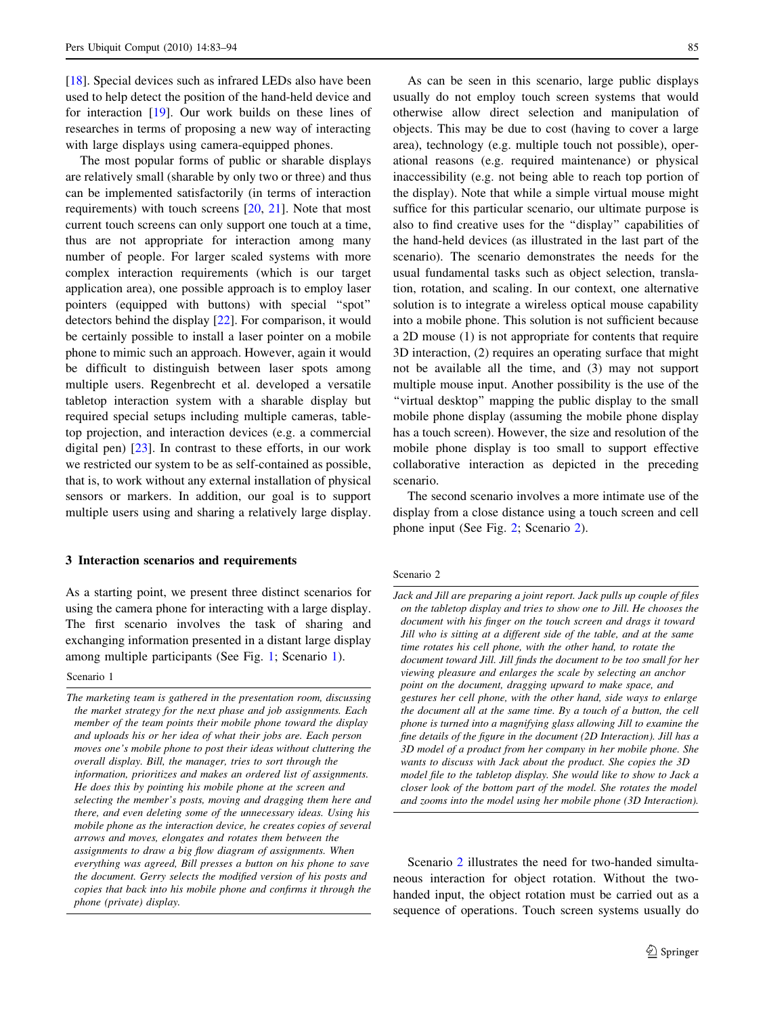[\[18](#page-11-0)]. Special devices such as infrared LEDs also have been used to help detect the position of the hand-held device and for interaction [\[19](#page-11-0)]. Our work builds on these lines of researches in terms of proposing a new way of interacting with large displays using camera-equipped phones.

The most popular forms of public or sharable displays are relatively small (sharable by only two or three) and thus can be implemented satisfactorily (in terms of interaction requirements) with touch screens  $[20, 21]$  $[20, 21]$  $[20, 21]$  $[20, 21]$ . Note that most current touch screens can only support one touch at a time, thus are not appropriate for interaction among many number of people. For larger scaled systems with more complex interaction requirements (which is our target application area), one possible approach is to employ laser pointers (equipped with buttons) with special ''spot'' detectors behind the display [\[22](#page-11-0)]. For comparison, it would be certainly possible to install a laser pointer on a mobile phone to mimic such an approach. However, again it would be difficult to distinguish between laser spots among multiple users. Regenbrecht et al. developed a versatile tabletop interaction system with a sharable display but required special setups including multiple cameras, tabletop projection, and interaction devices (e.g. a commercial digital pen) [\[23](#page-11-0)]. In contrast to these efforts, in our work we restricted our system to be as self-contained as possible, that is, to work without any external installation of physical sensors or markers. In addition, our goal is to support multiple users using and sharing a relatively large display.

### 3 Interaction scenarios and requirements

As a starting point, we present three distinct scenarios for using the camera phone for interacting with a large display. The first scenario involves the task of sharing and exchanging information presented in a distant large display among multiple participants (See Fig. [1;](#page-3-0) Scenario 1).

#### Scenario 1

The marketing team is gathered in the presentation room, discussing the market strategy for the next phase and job assignments. Each member of the team points their mobile phone toward the display and uploads his or her idea of what their jobs are. Each person moves one's mobile phone to post their ideas without cluttering the overall display. Bill, the manager, tries to sort through the information, prioritizes and makes an ordered list of assignments. He does this by pointing his mobile phone at the screen and selecting the member's posts, moving and dragging them here and there, and even deleting some of the unnecessary ideas. Using his mobile phone as the interaction device, he creates copies of several arrows and moves, elongates and rotates them between the assignments to draw a big flow diagram of assignments. When everything was agreed, Bill presses a button on his phone to save the document. Gerry selects the modified version of his posts and copies that back into his mobile phone and confirms it through the phone (private) display.

As can be seen in this scenario, large public displays usually do not employ touch screen systems that would otherwise allow direct selection and manipulation of objects. This may be due to cost (having to cover a large area), technology (e.g. multiple touch not possible), operational reasons (e.g. required maintenance) or physical inaccessibility (e.g. not being able to reach top portion of the display). Note that while a simple virtual mouse might suffice for this particular scenario, our ultimate purpose is also to find creative uses for the ''display'' capabilities of the hand-held devices (as illustrated in the last part of the scenario). The scenario demonstrates the needs for the usual fundamental tasks such as object selection, translation, rotation, and scaling. In our context, one alternative solution is to integrate a wireless optical mouse capability into a mobile phone. This solution is not sufficient because a 2D mouse (1) is not appropriate for contents that require 3D interaction, (2) requires an operating surface that might not be available all the time, and (3) may not support multiple mouse input. Another possibility is the use of the ''virtual desktop'' mapping the public display to the small mobile phone display (assuming the mobile phone display has a touch screen). However, the size and resolution of the mobile phone display is too small to support effective collaborative interaction as depicted in the preceding scenario.

The second scenario involves a more intimate use of the display from a close distance using a touch screen and cell phone input (See Fig. [2;](#page-3-0) Scenario 2).

Jack and Jill are preparing a joint report. Jack pulls up couple of files on the tabletop display and tries to show one to Jill. He chooses the document with his finger on the touch screen and drags it toward Jill who is sitting at a different side of the table, and at the same time rotates his cell phone, with the other hand, to rotate the document toward Jill. Jill finds the document to be too small for her viewing pleasure and enlarges the scale by selecting an anchor point on the document, dragging upward to make space, and gestures her cell phone, with the other hand, side ways to enlarge the document all at the same time. By a touch of a button, the cell phone is turned into a magnifying glass allowing Jill to examine the fine details of the figure in the document (2D Interaction). Jill has a 3D model of a product from her company in her mobile phone. She wants to discuss with Jack about the product. She copies the 3D model file to the tabletop display. She would like to show to Jack a closer look of the bottom part of the model. She rotates the model and zooms into the model using her mobile phone (3D Interaction).

Scenario 2 illustrates the need for two-handed simultaneous interaction for object rotation. Without the twohanded input, the object rotation must be carried out as a sequence of operations. Touch screen systems usually do

Scenario 2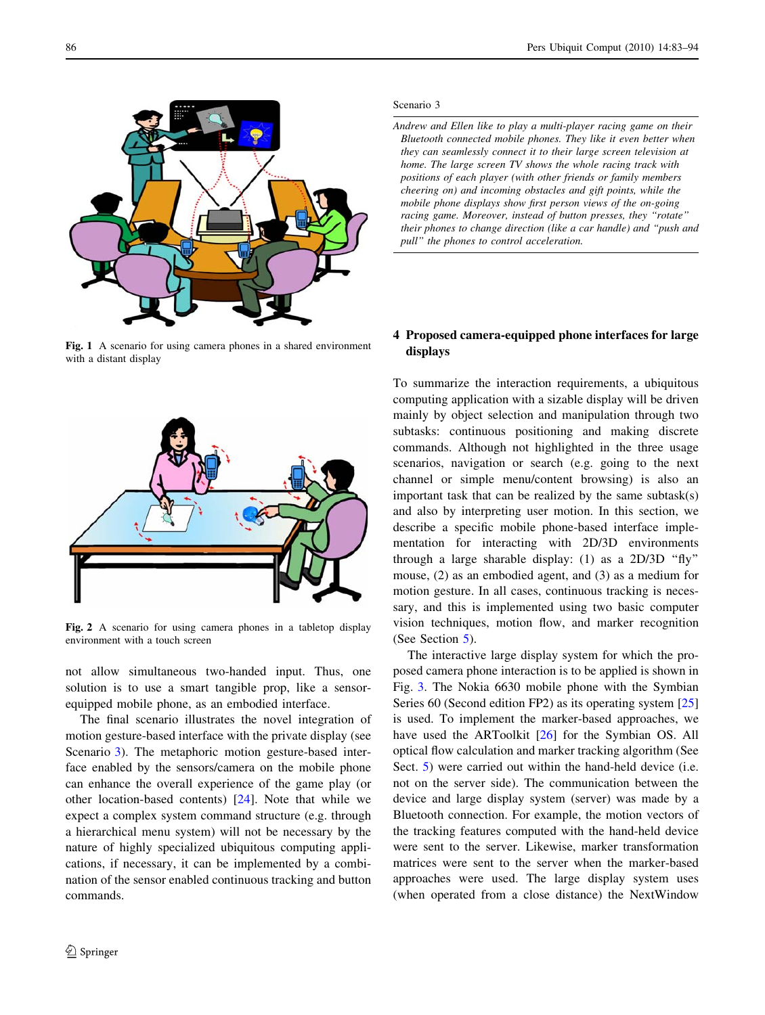<span id="page-3-0"></span>

Fig. 1 A scenario for using camera phones in a shared environment with a distant display



Fig. 2 A scenario for using camera phones in a tabletop display environment with a touch screen

not allow simultaneous two-handed input. Thus, one solution is to use a smart tangible prop, like a sensorequipped mobile phone, as an embodied interface.

The final scenario illustrates the novel integration of motion gesture-based interface with the private display (see Scenario 3). The metaphoric motion gesture-based interface enabled by the sensors/camera on the mobile phone can enhance the overall experience of the game play (or other location-based contents) [\[24\]](#page-11-0). Note that while we expect a complex system command structure (e.g. through a hierarchical menu system) will not be necessary by the nature of highly specialized ubiquitous computing applications, if necessary, it can be implemented by a combination of the sensor enabled continuous tracking and button commands.

# $\textcircled{2}$  Springer

#### Scenario 3

Andrew and Ellen like to play a multi-player racing game on their Bluetooth connected mobile phones. They like it even better when they can seamlessly connect it to their large screen television at home. The large screen TV shows the whole racing track with positions of each player (with other friends or family members cheering on) and incoming obstacles and gift points, while the mobile phone displays show first person views of the on-going racing game. Moreover, instead of button presses, they ''rotate'' their phones to change direction (like a car handle) and ''push and pull'' the phones to control acceleration.

# 4 Proposed camera-equipped phone interfaces for large displays

To summarize the interaction requirements, a ubiquitous computing application with a sizable display will be driven mainly by object selection and manipulation through two subtasks: continuous positioning and making discrete commands. Although not highlighted in the three usage scenarios, navigation or search (e.g. going to the next channel or simple menu/content browsing) is also an important task that can be realized by the same subtask(s) and also by interpreting user motion. In this section, we describe a specific mobile phone-based interface implementation for interacting with 2D/3D environments through a large sharable display: (1) as a 2D/3D ''fly'' mouse, (2) as an embodied agent, and (3) as a medium for motion gesture. In all cases, continuous tracking is necessary, and this is implemented using two basic computer vision techniques, motion flow, and marker recognition (See Section [5\)](#page-6-0).

The interactive large display system for which the proposed camera phone interaction is to be applied is shown in Fig. [3](#page-4-0). The Nokia 6630 mobile phone with the Symbian Series 60 (Second edition FP2) as its operating system [[25\]](#page-11-0) is used. To implement the marker-based approaches, we have used the ARToolkit [[26\]](#page-11-0) for the Symbian OS. All optical flow calculation and marker tracking algorithm (See Sect. [5](#page-6-0)) were carried out within the hand-held device (i.e. not on the server side). The communication between the device and large display system (server) was made by a Bluetooth connection. For example, the motion vectors of the tracking features computed with the hand-held device were sent to the server. Likewise, marker transformation matrices were sent to the server when the marker-based approaches were used. The large display system uses (when operated from a close distance) the NextWindow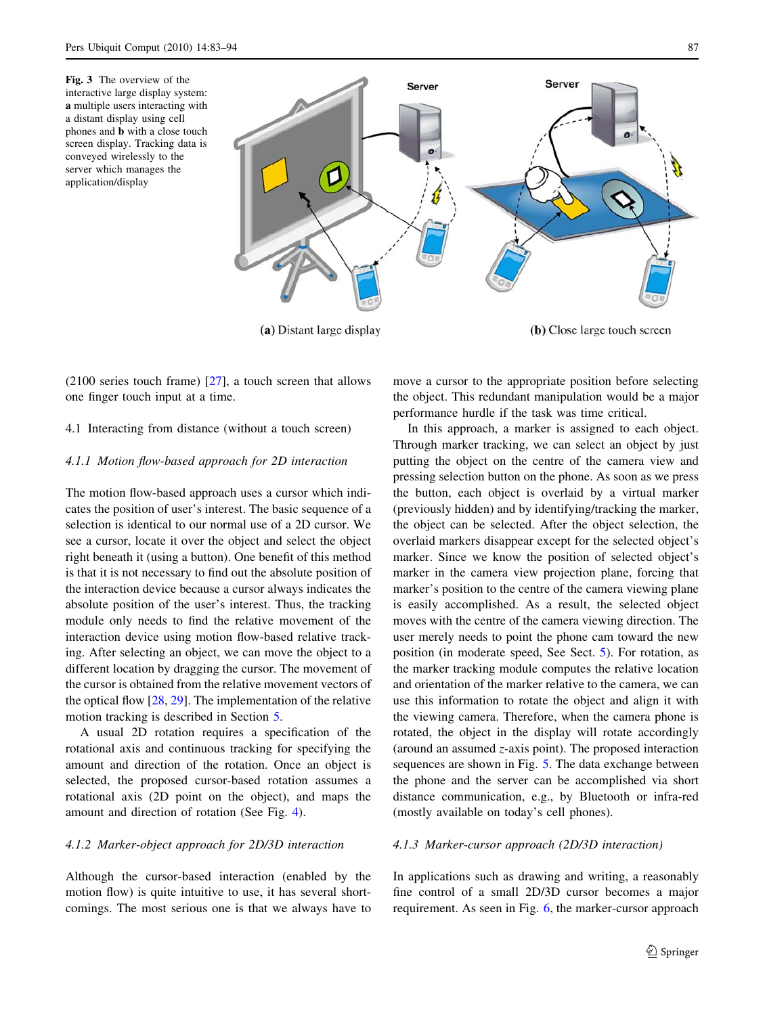<span id="page-4-0"></span>Fig. 3 The overview of the interactive large display system: a multiple users interacting with a distant display using cell phones and b with a close touch screen display. Tracking data is conveyed wirelessly to the server which manages the application/display



(a) Distant large display

(b) Close large touch screen

(2100 series touch frame) [[27\]](#page-11-0), a touch screen that allows one finger touch input at a time.

## 4.1 Interacting from distance (without a touch screen)

# 4.1.1 Motion flow-based approach for 2D interaction

The motion flow-based approach uses a cursor which indicates the position of user's interest. The basic sequence of a selection is identical to our normal use of a 2D cursor. We see a cursor, locate it over the object and select the object right beneath it (using a button). One benefit of this method is that it is not necessary to find out the absolute position of the interaction device because a cursor always indicates the absolute position of the user's interest. Thus, the tracking module only needs to find the relative movement of the interaction device using motion flow-based relative tracking. After selecting an object, we can move the object to a different location by dragging the cursor. The movement of the cursor is obtained from the relative movement vectors of the optical flow  $[28, 29]$  $[28, 29]$  $[28, 29]$ . The implementation of the relative motion tracking is described in Section [5.](#page-6-0)

A usual 2D rotation requires a specification of the rotational axis and continuous tracking for specifying the amount and direction of the rotation. Once an object is selected, the proposed cursor-based rotation assumes a rotational axis (2D point on the object), and maps the amount and direction of rotation (See Fig. [4](#page-5-0)).

#### 4.1.2 Marker-object approach for 2D/3D interaction

Although the cursor-based interaction (enabled by the motion flow) is quite intuitive to use, it has several shortcomings. The most serious one is that we always have to move a cursor to the appropriate position before selecting the object. This redundant manipulation would be a major performance hurdle if the task was time critical.

In this approach, a marker is assigned to each object. Through marker tracking, we can select an object by just putting the object on the centre of the camera view and pressing selection button on the phone. As soon as we press the button, each object is overlaid by a virtual marker (previously hidden) and by identifying/tracking the marker, the object can be selected. After the object selection, the overlaid markers disappear except for the selected object's marker. Since we know the position of selected object's marker in the camera view projection plane, forcing that marker's position to the centre of the camera viewing plane is easily accomplished. As a result, the selected object moves with the centre of the camera viewing direction. The user merely needs to point the phone cam toward the new position (in moderate speed, See Sect. [5](#page-6-0)). For rotation, as the marker tracking module computes the relative location and orientation of the marker relative to the camera, we can use this information to rotate the object and align it with the viewing camera. Therefore, when the camera phone is rotated, the object in the display will rotate accordingly (around an assumed z-axis point). The proposed interaction sequences are shown in Fig. [5.](#page-5-0) The data exchange between the phone and the server can be accomplished via short distance communication, e.g., by Bluetooth or infra-red (mostly available on today's cell phones).

#### 4.1.3 Marker-cursor approach (2D/3D interaction)

In applications such as drawing and writing, a reasonably fine control of a small 2D/3D cursor becomes a major requirement. As seen in Fig. [6](#page-6-0), the marker-cursor approach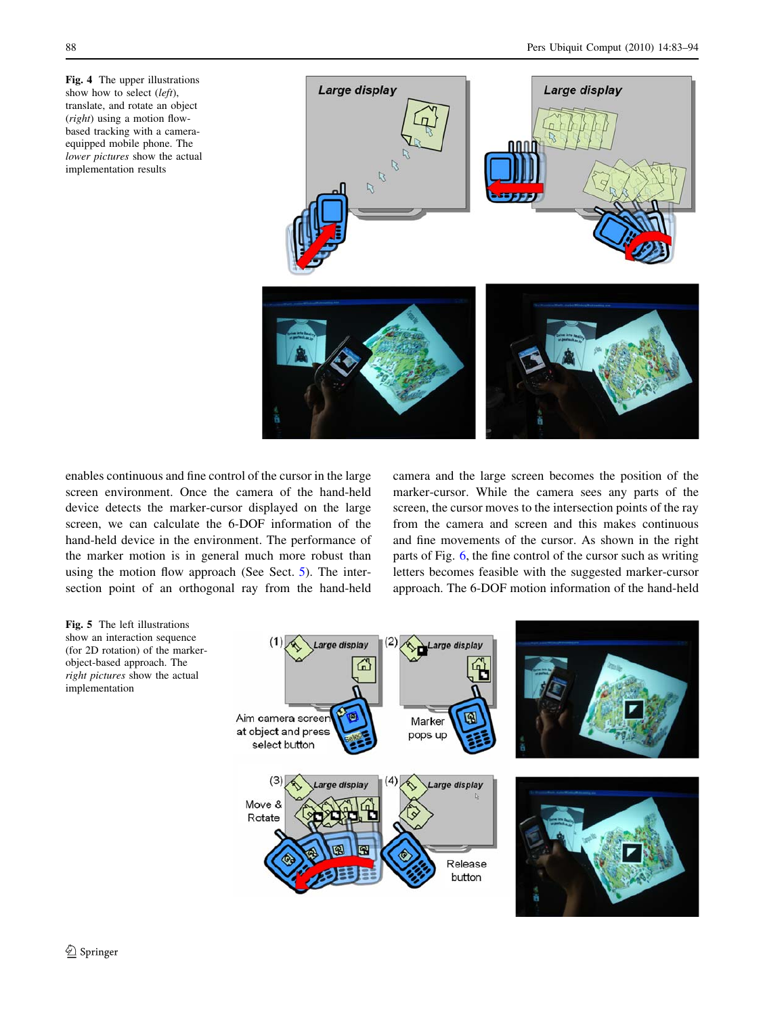<span id="page-5-0"></span>Fig. 4 The upper illustrations show how to select (left), translate, and rotate an object (right) using a motion flowbased tracking with a cameraequipped mobile phone. The lower pictures show the actual implementation results



enables continuous and fine control of the cursor in the large screen environment. Once the camera of the hand-held device detects the marker-cursor displayed on the large screen, we can calculate the 6-DOF information of the hand-held device in the environment. The performance of the marker motion is in general much more robust than using the motion flow approach (See Sect. [5\)](#page-6-0). The intersection point of an orthogonal ray from the hand-held camera and the large screen becomes the position of the marker-cursor. While the camera sees any parts of the screen, the cursor moves to the intersection points of the ray from the camera and screen and this makes continuous and fine movements of the cursor. As shown in the right parts of Fig. [6,](#page-6-0) the fine control of the cursor such as writing letters becomes feasible with the suggested marker-cursor approach. The 6-DOF motion information of the hand-held

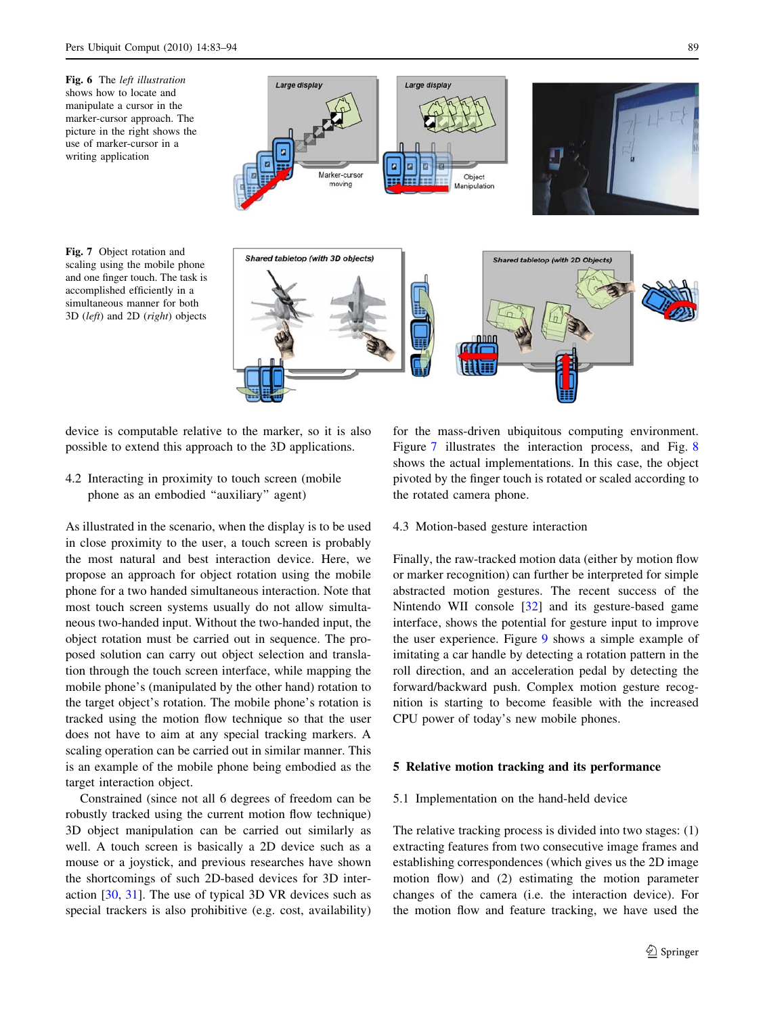<span id="page-6-0"></span>Fig. 6 The left illustration shows how to locate and manipulate a cursor in the marker-cursor approach. The picture in the right shows the use of marker-cursor in a writing application

Fig. 7 Object rotation and scaling using the mobile phone and one finger touch. The task is accomplished efficiently in a simultaneous manner for both 3D (left) and 2D (right) objects



device is computable relative to the marker, so it is also possible to extend this approach to the 3D applications.

# 4.2 Interacting in proximity to touch screen (mobile phone as an embodied ''auxiliary'' agent)

As illustrated in the scenario, when the display is to be used in close proximity to the user, a touch screen is probably the most natural and best interaction device. Here, we propose an approach for object rotation using the mobile phone for a two handed simultaneous interaction. Note that most touch screen systems usually do not allow simultaneous two-handed input. Without the two-handed input, the object rotation must be carried out in sequence. The proposed solution can carry out object selection and translation through the touch screen interface, while mapping the mobile phone's (manipulated by the other hand) rotation to the target object's rotation. The mobile phone's rotation is tracked using the motion flow technique so that the user does not have to aim at any special tracking markers. A scaling operation can be carried out in similar manner. This is an example of the mobile phone being embodied as the target interaction object.

Constrained (since not all 6 degrees of freedom can be robustly tracked using the current motion flow technique) 3D object manipulation can be carried out similarly as well. A touch screen is basically a 2D device such as a mouse or a joystick, and previous researches have shown the shortcomings of such 2D-based devices for 3D interaction [\[30](#page-11-0), [31\]](#page-11-0). The use of typical 3D VR devices such as special trackers is also prohibitive (e.g. cost, availability) for the mass-driven ubiquitous computing environment. Figure 7 illustrates the interaction process, and Fig. [8](#page-7-0) shows the actual implementations. In this case, the object pivoted by the finger touch is rotated or scaled according to the rotated camera phone.

### 4.3 Motion-based gesture interaction

Finally, the raw-tracked motion data (either by motion flow or marker recognition) can further be interpreted for simple abstracted motion gestures. The recent success of the Nintendo WII console [\[32](#page-11-0)] and its gesture-based game interface, shows the potential for gesture input to improve the user experience. Figure [9](#page-7-0) shows a simple example of imitating a car handle by detecting a rotation pattern in the roll direction, and an acceleration pedal by detecting the forward/backward push. Complex motion gesture recognition is starting to become feasible with the increased CPU power of today's new mobile phones.

#### 5 Relative motion tracking and its performance

# 5.1 Implementation on the hand-held device

The relative tracking process is divided into two stages: (1) extracting features from two consecutive image frames and establishing correspondences (which gives us the 2D image motion flow) and (2) estimating the motion parameter changes of the camera (i.e. the interaction device). For the motion flow and feature tracking, we have used the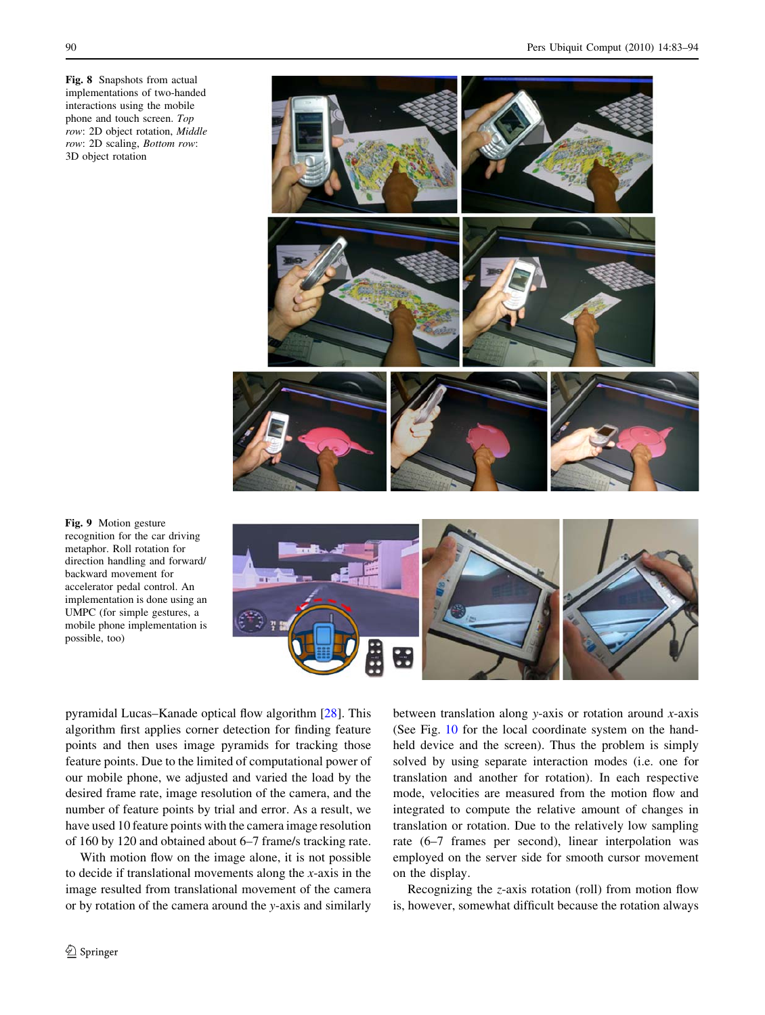<span id="page-7-0"></span>Fig. 8 Snapshots from actual implementations of two-handed interactions using the mobile phone and touch screen. Top row: 2D object rotation, Middle row: 2D scaling, Bottom row: 3D object rotation





pyramidal Lucas–Kanade optical flow algorithm [[28\]](#page-11-0). This algorithm first applies corner detection for finding feature points and then uses image pyramids for tracking those feature points. Due to the limited of computational power of our mobile phone, we adjusted and varied the load by the desired frame rate, image resolution of the camera, and the number of feature points by trial and error. As a result, we have used 10 feature points with the camera image resolution of 160 by 120 and obtained about 6–7 frame/s tracking rate.

With motion flow on the image alone, it is not possible to decide if translational movements along the  $x$ -axis in the image resulted from translational movement of the camera or by rotation of the camera around the y-axis and similarly between translation along y-axis or rotation around  $x$ -axis (See Fig. [10](#page-8-0) for the local coordinate system on the handheld device and the screen). Thus the problem is simply solved by using separate interaction modes (i.e. one for translation and another for rotation). In each respective mode, velocities are measured from the motion flow and integrated to compute the relative amount of changes in translation or rotation. Due to the relatively low sampling rate (6–7 frames per second), linear interpolation was employed on the server side for smooth cursor movement on the display.

Recognizing the z-axis rotation (roll) from motion flow is, however, somewhat difficult because the rotation always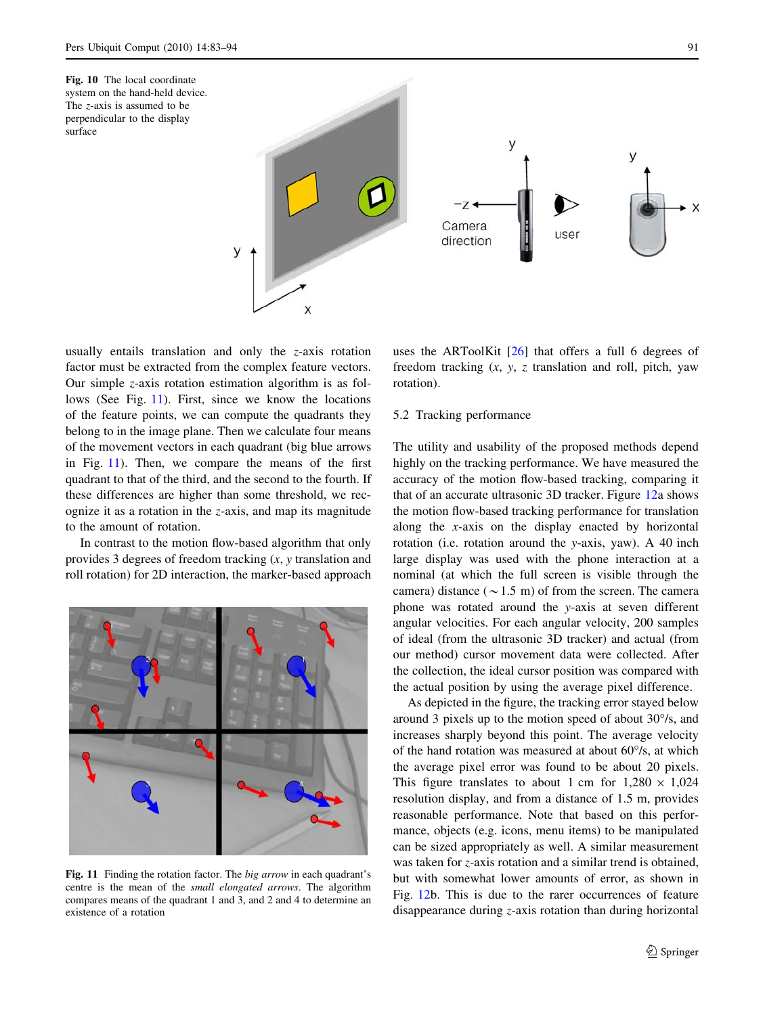<span id="page-8-0"></span>Fig. 10 The local coordinate system on the hand-held device. The z-axis is assumed to be perpendicular to the display surface



usually entails translation and only the z-axis rotation factor must be extracted from the complex feature vectors. Our simple z-axis rotation estimation algorithm is as follows (See Fig. 11). First, since we know the locations of the feature points, we can compute the quadrants they belong to in the image plane. Then we calculate four means of the movement vectors in each quadrant (big blue arrows in Fig. 11). Then, we compare the means of the first quadrant to that of the third, and the second to the fourth. If these differences are higher than some threshold, we recognize it as a rotation in the z-axis, and map its magnitude to the amount of rotation.

In contrast to the motion flow-based algorithm that only provides 3 degrees of freedom tracking  $(x, y)$  translation and roll rotation) for 2D interaction, the marker-based approach



Fig. 11 Finding the rotation factor. The *big arrow* in each quadrant's centre is the mean of the small elongated arrows. The algorithm compares means of the quadrant 1 and 3, and 2 and 4 to determine an existence of a rotation

uses the ARToolKit [\[26](#page-11-0)] that offers a full 6 degrees of freedom tracking  $(x, y, z)$  translation and roll, pitch, yaw rotation).

#### 5.2 Tracking performance

The utility and usability of the proposed methods depend highly on the tracking performance. We have measured the accuracy of the motion flow-based tracking, comparing it that of an accurate ultrasonic 3D tracker. Figure [12](#page-9-0)a shows the motion flow-based tracking performance for translation along the x-axis on the display enacted by horizontal rotation (i.e. rotation around the y-axis, yaw). A 40 inch large display was used with the phone interaction at a nominal (at which the full screen is visible through the camera) distance ( $\sim$  1.5 m) of from the screen. The camera phone was rotated around the y-axis at seven different angular velocities. For each angular velocity, 200 samples of ideal (from the ultrasonic 3D tracker) and actual (from our method) cursor movement data were collected. After the collection, the ideal cursor position was compared with the actual position by using the average pixel difference.

As depicted in the figure, the tracking error stayed below around 3 pixels up to the motion speed of about  $30^{\circ}/s$ , and increases sharply beyond this point. The average velocity of the hand rotation was measured at about  $60^{\circ}/s$ , at which the average pixel error was found to be about 20 pixels. This figure translates to about 1 cm for  $1,280 \times 1,024$ resolution display, and from a distance of 1.5 m, provides reasonable performance. Note that based on this performance, objects (e.g. icons, menu items) to be manipulated can be sized appropriately as well. A similar measurement was taken for *z*-axis rotation and a similar trend is obtained, but with somewhat lower amounts of error, as shown in Fig. [12](#page-9-0)b. This is due to the rarer occurrences of feature disappearance during z-axis rotation than during horizontal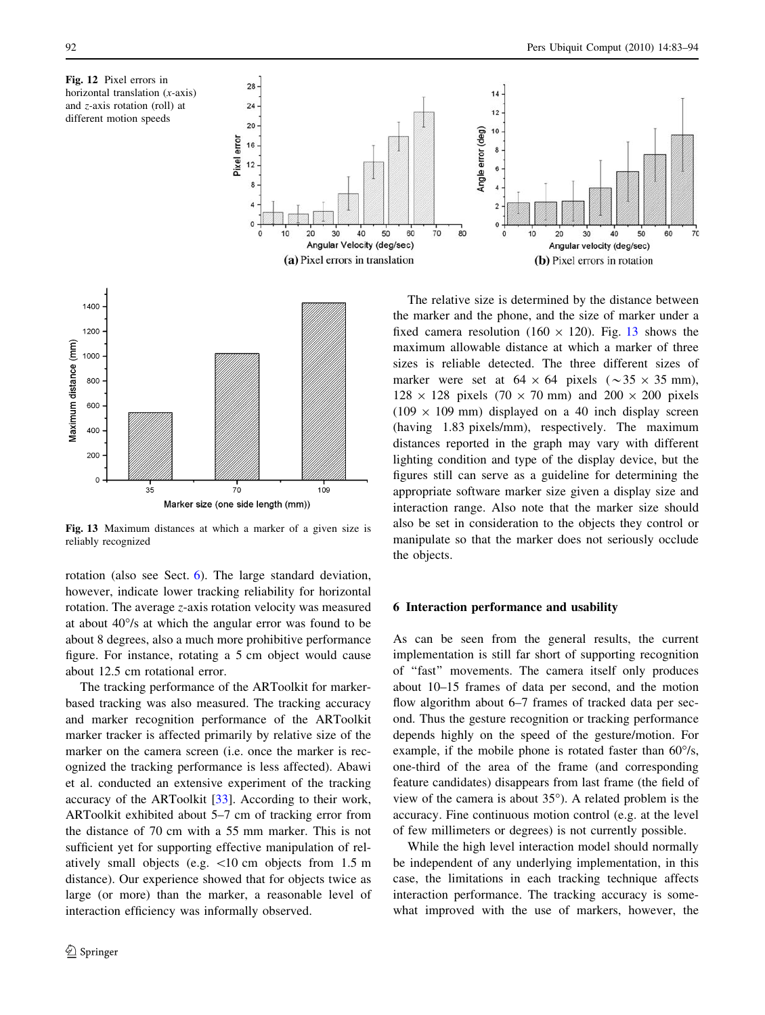Fig. 12 Pixel errors in horizontal translation (x-axis) and z-axis rotation (roll) at different motion speeds

<span id="page-9-0"></span>





Fig. 13 Maximum distances at which a marker of a given size is reliably recognized

rotation (also see Sect. 6). The large standard deviation, however, indicate lower tracking reliability for horizontal rotation. The average z-axis rotation velocity was measured at about  $40^{\circ}/s$  at which the angular error was found to be about 8 degrees, also a much more prohibitive performance figure. For instance, rotating a 5 cm object would cause about 12.5 cm rotational error.

The tracking performance of the ARToolkit for markerbased tracking was also measured. The tracking accuracy and marker recognition performance of the ARToolkit marker tracker is affected primarily by relative size of the marker on the camera screen (i.e. once the marker is recognized the tracking performance is less affected). Abawi et al. conducted an extensive experiment of the tracking accuracy of the ARToolkit [[33\]](#page-11-0). According to their work, ARToolkit exhibited about 5–7 cm of tracking error from the distance of 70 cm with a 55 mm marker. This is not sufficient yet for supporting effective manipulation of relatively small objects (e.g. *\*10 cm objects from 1.5 m distance). Our experience showed that for objects twice as large (or more) than the marker, a reasonable level of interaction efficiency was informally observed.

The relative size is determined by the distance between the marker and the phone, and the size of marker under a fixed camera resolution (160  $\times$  120). Fig. 13 shows the maximum allowable distance at which a marker of three sizes is reliable detected. The three different sizes of marker were set at  $64 \times 64$  pixels ( $\sim 35 \times 35$  mm),  $128 \times 128$  pixels (70  $\times$  70 mm) and 200  $\times$  200 pixels  $(109 \times 109 \text{ mm})$  displayed on a 40 inch display screen (having 1.83 pixels/mm), respectively. The maximum distances reported in the graph may vary with different lighting condition and type of the display device, but the figures still can serve as a guideline for determining the appropriate software marker size given a display size and interaction range. Also note that the marker size should also be set in consideration to the objects they control or manipulate so that the marker does not seriously occlude the objects.

## 6 Interaction performance and usability

As can be seen from the general results, the current implementation is still far short of supporting recognition of ''fast'' movements. The camera itself only produces about 10–15 frames of data per second, and the motion flow algorithm about 6–7 frames of tracked data per second. Thus the gesture recognition or tracking performance depends highly on the speed of the gesture/motion. For example, if the mobile phone is rotated faster than  $60^{\circ}/s$ , one-third of the area of the frame (and corresponding feature candidates) disappears from last frame (the field of view of the camera is about  $35^{\circ}$ ). A related problem is the accuracy. Fine continuous motion control (e.g. at the level of few millimeters or degrees) is not currently possible.

While the high level interaction model should normally be independent of any underlying implementation, in this case, the limitations in each tracking technique affects interaction performance. The tracking accuracy is somewhat improved with the use of markers, however, the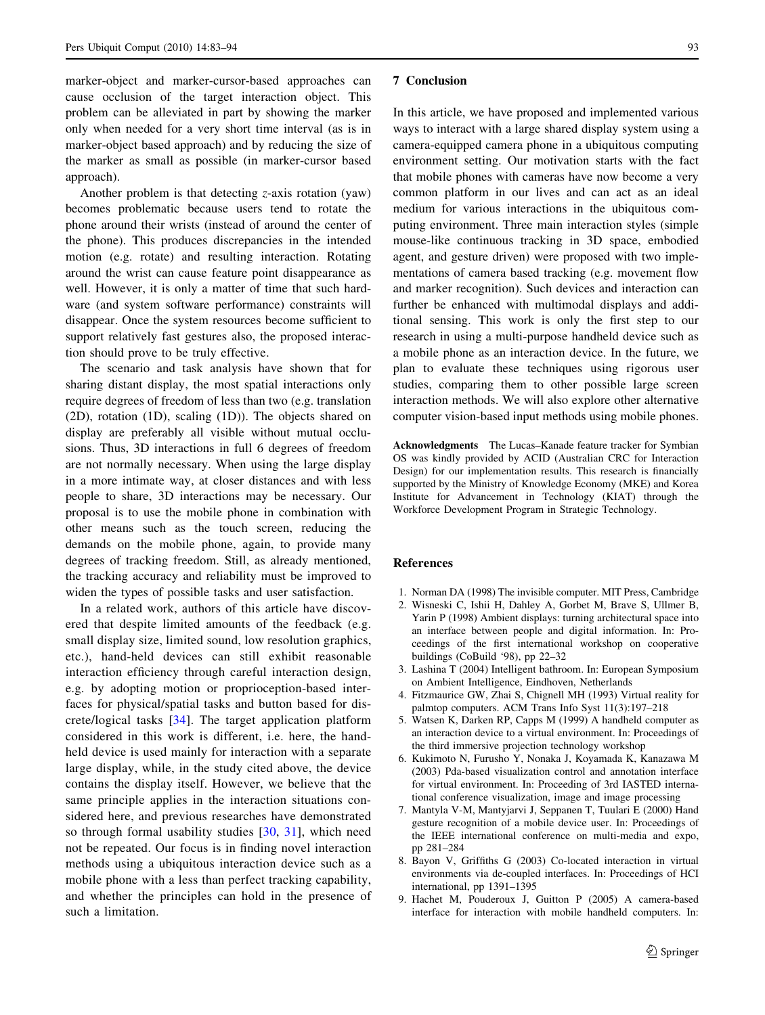<span id="page-10-0"></span>marker-object and marker-cursor-based approaches can cause occlusion of the target interaction object. This problem can be alleviated in part by showing the marker only when needed for a very short time interval (as is in marker-object based approach) and by reducing the size of the marker as small as possible (in marker-cursor based approach).

Another problem is that detecting  $z$ -axis rotation (yaw) becomes problematic because users tend to rotate the phone around their wrists (instead of around the center of the phone). This produces discrepancies in the intended motion (e.g. rotate) and resulting interaction. Rotating around the wrist can cause feature point disappearance as well. However, it is only a matter of time that such hardware (and system software performance) constraints will disappear. Once the system resources become sufficient to support relatively fast gestures also, the proposed interaction should prove to be truly effective.

The scenario and task analysis have shown that for sharing distant display, the most spatial interactions only require degrees of freedom of less than two (e.g. translation (2D), rotation (1D), scaling (1D)). The objects shared on display are preferably all visible without mutual occlusions. Thus, 3D interactions in full 6 degrees of freedom are not normally necessary. When using the large display in a more intimate way, at closer distances and with less people to share, 3D interactions may be necessary. Our proposal is to use the mobile phone in combination with other means such as the touch screen, reducing the demands on the mobile phone, again, to provide many degrees of tracking freedom. Still, as already mentioned, the tracking accuracy and reliability must be improved to widen the types of possible tasks and user satisfaction.

In a related work, authors of this article have discovered that despite limited amounts of the feedback (e.g. small display size, limited sound, low resolution graphics, etc.), hand-held devices can still exhibit reasonable interaction efficiency through careful interaction design, e.g. by adopting motion or proprioception-based interfaces for physical/spatial tasks and button based for discrete/logical tasks [[34](#page-11-0)]. The target application platform considered in this work is different, i.e. here, the handheld device is used mainly for interaction with a separate large display, while, in the study cited above, the device contains the display itself. However, we believe that the same principle applies in the interaction situations considered here, and previous researches have demonstrated so through formal usability studies  $[30, 31]$  $[30, 31]$  $[30, 31]$  $[30, 31]$ , which need not be repeated. Our focus is in finding novel interaction methods using a ubiquitous interaction device such as a mobile phone with a less than perfect tracking capability, and whether the principles can hold in the presence of such a limitation.

#### 7 Conclusion

In this article, we have proposed and implemented various ways to interact with a large shared display system using a camera-equipped camera phone in a ubiquitous computing environment setting. Our motivation starts with the fact that mobile phones with cameras have now become a very common platform in our lives and can act as an ideal medium for various interactions in the ubiquitous computing environment. Three main interaction styles (simple mouse-like continuous tracking in 3D space, embodied agent, and gesture driven) were proposed with two implementations of camera based tracking (e.g. movement flow and marker recognition). Such devices and interaction can further be enhanced with multimodal displays and additional sensing. This work is only the first step to our research in using a multi-purpose handheld device such as a mobile phone as an interaction device. In the future, we plan to evaluate these techniques using rigorous user studies, comparing them to other possible large screen interaction methods. We will also explore other alternative computer vision-based input methods using mobile phones.

Acknowledgments The Lucas–Kanade feature tracker for Symbian OS was kindly provided by ACID (Australian CRC for Interaction Design) for our implementation results. This research is financially supported by the Ministry of Knowledge Economy (MKE) and Korea Institute for Advancement in Technology (KIAT) through the Workforce Development Program in Strategic Technology.

#### References

- 1. Norman DA (1998) The invisible computer. MIT Press, Cambridge
- 2. Wisneski C, Ishii H, Dahley A, Gorbet M, Brave S, Ullmer B, Yarin P (1998) Ambient displays: turning architectural space into an interface between people and digital information. In: Proceedings of the first international workshop on cooperative buildings (CoBuild '98), pp 22–32
- 3. Lashina T (2004) Intelligent bathroom. In: European Symposium on Ambient Intelligence, Eindhoven, Netherlands
- 4. Fitzmaurice GW, Zhai S, Chignell MH (1993) Virtual reality for palmtop computers. ACM Trans Info Syst 11(3):197–218
- 5. Watsen K, Darken RP, Capps M (1999) A handheld computer as an interaction device to a virtual environment. In: Proceedings of the third immersive projection technology workshop
- 6. Kukimoto N, Furusho Y, Nonaka J, Koyamada K, Kanazawa M (2003) Pda-based visualization control and annotation interface for virtual environment. In: Proceeding of 3rd IASTED international conference visualization, image and image processing
- 7. Mantyla V-M, Mantyjarvi J, Seppanen T, Tuulari E (2000) Hand gesture recognition of a mobile device user. In: Proceedings of the IEEE international conference on multi-media and expo, pp 281–284
- 8. Bayon V, Griffiths G (2003) Co-located interaction in virtual environments via de-coupled interfaces. In: Proceedings of HCI international, pp 1391–1395
- 9. Hachet M, Pouderoux J, Guitton P (2005) A camera-based interface for interaction with mobile handheld computers. In: